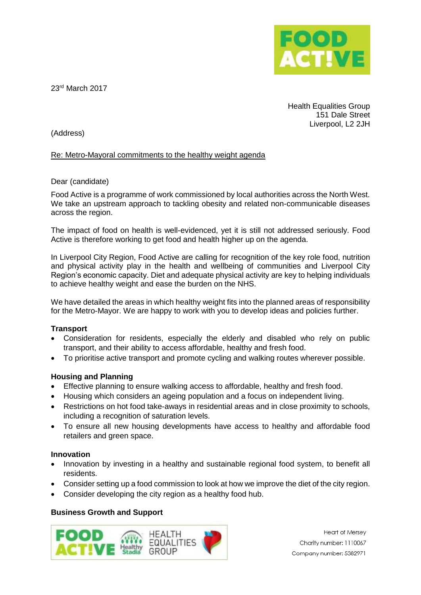

23rd March 2017

Health Equalities Group 151 Dale Street Liverpool, L2 2JH

(Address)

### Re: Metro-Mayoral commitments to the healthy weight agenda

#### Dear (candidate)

Food Active is a programme of work commissioned by local authorities across the North West. We take an upstream approach to tackling obesity and related non-communicable diseases across the region.

The impact of food on health is well-evidenced, yet it is still not addressed seriously. Food Active is therefore working to get food and health higher up on the agenda.

In Liverpool City Region, Food Active are calling for recognition of the key role food, nutrition and physical activity play in the health and wellbeing of communities and Liverpool City Region's economic capacity. Diet and adequate physical activity are key to helping individuals to achieve healthy weight and ease the burden on the NHS.

We have detailed the areas in which healthy weight fits into the planned areas of responsibility for the Metro-Mayor. We are happy to work with you to develop ideas and policies further.

# **Transport**

- Consideration for residents, especially the elderly and disabled who rely on public transport, and their ability to access affordable, healthy and fresh food.
- To prioritise active transport and promote cycling and walking routes wherever possible.

# **Housing and Planning**

- Effective planning to ensure walking access to affordable, healthy and fresh food.
- Housing which considers an ageing population and a focus on independent living.
- Restrictions on hot food take-aways in residential areas and in close proximity to schools, including a recognition of saturation levels.
- To ensure all new housing developments have access to healthy and affordable food retailers and green space.

#### **Innovation**

- Innovation by investing in a healthy and sustainable regional food system, to benefit all residents.
- Consider setting up a food commission to look at how we improve the diet of the city region.
- Consider developing the city region as a healthy food hub.

# **Business Growth and Support**

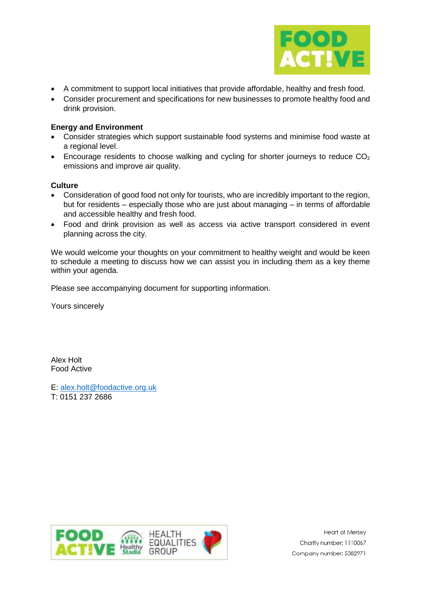

- A commitment to support local initiatives that provide affordable, healthy and fresh food.
- Consider procurement and specifications for new businesses to promote healthy food and drink provision.

### **Energy and Environment**

- Consider strategies which support sustainable food systems and minimise food waste at a regional level.
- Encourage residents to choose walking and cycling for shorter journeys to reduce CO<sup>2</sup> emissions and improve air quality.

### **Culture**

- Consideration of good food not only for tourists, who are incredibly important to the region, but for residents – especially those who are just about managing – in terms of affordable and accessible healthy and fresh food.
- Food and drink provision as well as access via active transport considered in event planning across the city.

We would welcome your thoughts on your commitment to healthy weight and would be keen to schedule a meeting to discuss how we can assist you in including them as a key theme within your agenda.

Please see accompanying document for supporting information.

Yours sincerely

Alex Holt Food Active

E: [alex.holt@foodactive.org.uk](mailto:alex.holt@foodactive.org.uk) T: 0151 237 2686